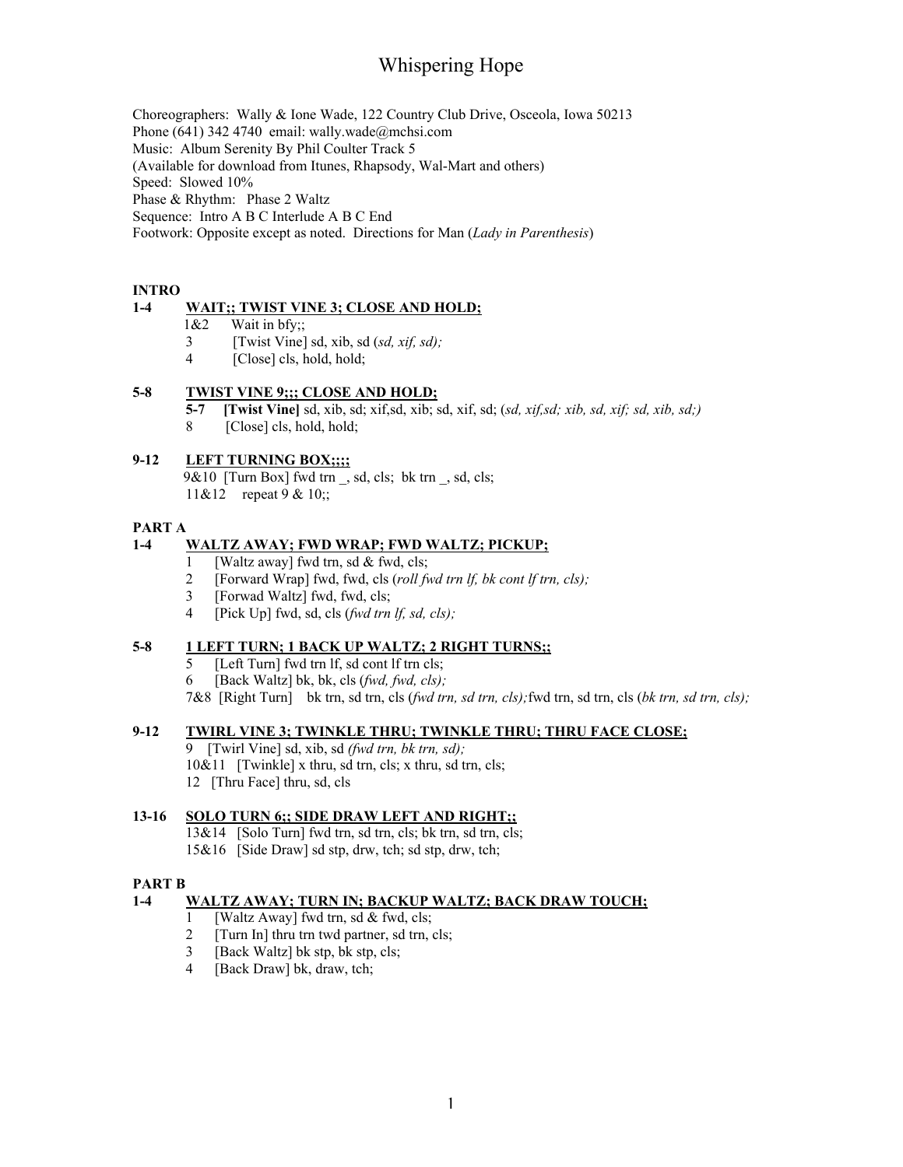# Whispering Hope

Choreographers: Wally & Ione Wade, 122 Country Club Drive, Osceola, Iowa 50213

Phone (641) 342 4740 email: wally.wade@mchsi.com

Music: Album Serenity By Phil Coulter Track 5

(Available for download from Itunes, Rhapsody, Wal-Mart and others)

Speed: Slowed 10%

Phase & Rhythm: Phase 2 Waltz

Sequence: Intro A B C Interlude A B C End

Footwork: Opposite except as noted. Directions for Man (*Lady in Parenthesis*)

### INTRO

## 1-4 WAIT;; TWIST VINE 3; CLOSE AND HOLD;

- 1&2 Wait in bfy;;
- 3 [Twist Vine] sd, xib, sd (*sd, xif, sd);*
- 4 [Close] cls, hold, hold;

### 5-8 TWIST VINE 9;;; CLOSE AND HOLD;

5-7 [Twist Vine] sd, xib, sd; xif,sd, xib; sd, xif, sd; (*sd, xif,sd; xib, sd, xif; sd, xib, sd;)*

8 [Close] cls, hold, hold;

## 9-12 LEFT TURNING BOX;;;;

9&10 [Turn Box] fwd trn , sd, cls; bk trn , sd, cls; 11&12 repeat 9 & 10;;

### PART A

## 1-4 WALTZ AWAY; FWD WRAP; FWD WALTZ; PICKUP;

- 1 [Waltz away] fwd trn, sd & fwd, cls;
- 2 [Forward Wrap] fwd, fwd, cls (*roll fwd trn lf, bk cont lf trn, cls);*
- 3 [Forwad Waltz] fwd, fwd, cls;
- 4 [Pick Up] fwd, sd, cls (*fwd trn lf, sd, cls);*

### 5-8 1 LEFT TURN; 1 BACK UP WALTZ; 2 RIGHT TURNS;;

- 5 [Left Turn] fwd trn lf, sd cont lf trn cls;
- 6 [Back Waltz] bk, bk, cls (*fwd, fwd, cls);*

7&8 [Right Turn] bk trn, sd trn, cls (*fwd trn, sd trn, cls);*fwd trn, sd trn, cls (*bk trn, sd trn, cls);*

### 9-12 TWIRL VINE 3; TWINKLE THRU; TWINKLE THRU; THRU FACE CLOSE;

9 [Twirl Vine] sd, xib, sd *(fwd trn, bk trn, sd);*  $10&11$  [Twinkle] x thru, sd trn, cls; x thru, sd trn, cls;

12 [Thru Face] thru, sd, cls

### 13-16 SOLO TURN 6;; SIDE DRAW LEFT AND RIGHT;;

13&14 [Solo Turn] fwd trn, sd trn, cls; bk trn, sd trn, cls; 15&16 [Side Draw] sd stp, drw, tch; sd stp, drw, tch;

### PART B

## 1-4 WALTZ AWAY; TURN IN; BACKUP WALTZ; BACK DRAW TOUCH;

- 1 [Waltz Away] fwd trn, sd & fwd, cls;
- 2 [Turn In] thru trn twd partner, sd trn, cls;
- 3 [Back Waltz] bk stp, bk stp, cls;
- 4 [Back Draw] bk, draw, tch;